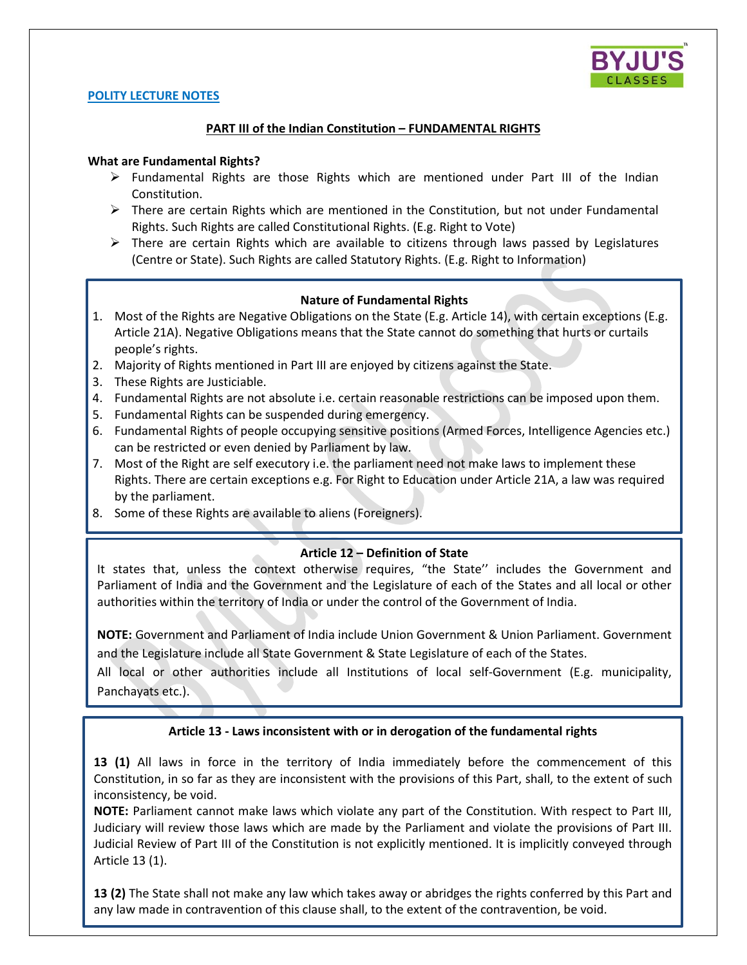

### **POLITY LECTURE NOTES**

# **PART III of the Indian Constitution – FUNDAMENTAL RIGHTS**

### **What are Fundamental Rights?**

- $\triangleright$  Fundamental Rights are those Rights which are mentioned under Part III of the Indian Constitution.
- $\triangleright$  There are certain Rights which are mentioned in the Constitution, but not under Fundamental Rights. Such Rights are called Constitutional Rights. (E.g. Right to Vote)
- $\triangleright$  There are certain Rights which are available to citizens through laws passed by Legislatures (Centre or State). Such Rights are called Statutory Rights. (E.g. Right to Information)

### **Nature of Fundamental Rights**

- 1. Most of the Rights are Negative Obligations on the State (E.g. Article 14), with certain exceptions (E.g. Article 21A). Negative Obligations means that the State cannot do something that hurts or curtails people's rights.
- 2. Majority of Rights mentioned in Part III are enjoyed by citizens against the State.
- 3. These Rights are Justiciable.

- 4. Fundamental Rights are not absolute i.e. certain reasonable restrictions can be imposed upon them.
- 5. Fundamental Rights can be suspended during emergency.
- 6. Fundamental Rights of people occupying sensitive positions (Armed Forces, Intelligence Agencies etc.) can be restricted or even denied by Parliament by law.
- 7. Most of the Right are self executory i.e. the parliament need not make laws to implement these Rights. There are certain exceptions e.g. For Right to Education under Article 21A, a law was required by the parliament.
- 8. Some of these Rights are available to aliens (Foreigners).

# **Article 12 – Definition of State**

It states that, unless the context otherwise requires, "the State" includes the Government and Parliament of India and the Government and the Legislature of each of the States and all local or other authorities within the territory of India or under the control of the Government of India.

**NOTE:** Government and Parliament of India include Union Government & Union Parliament. Government and the Legislature include all State Government & State Legislature of each of the States.

All local or other authorities include all Institutions of local self-Government (E.g. municipality, Panchayats etc.).

# **Article 13 - Laws inconsistent with or in derogation of the fundamental rights**

**13 (1)** All laws in force in the territory of India immediately before the commencement of this Constitution, in so far as they are inconsistent with the provisions of this Part, shall, to the extent of such inconsistency, be void.

**NOTE:** Parliament cannot make laws which violate any part of the Constitution. With respect to Part III, Judiciary will review those laws which are made by the Parliament and violate the provisions of Part III. Judicial Review of Part III of the Constitution is not explicitly mentioned. It is implicitly conveyed through Article 13 (1).

**13 (2)** The State shall not make any law which takes away or abridges the rights conferred by this Part and any law made in contravention of this clause shall, to the extent of the contravention, be void.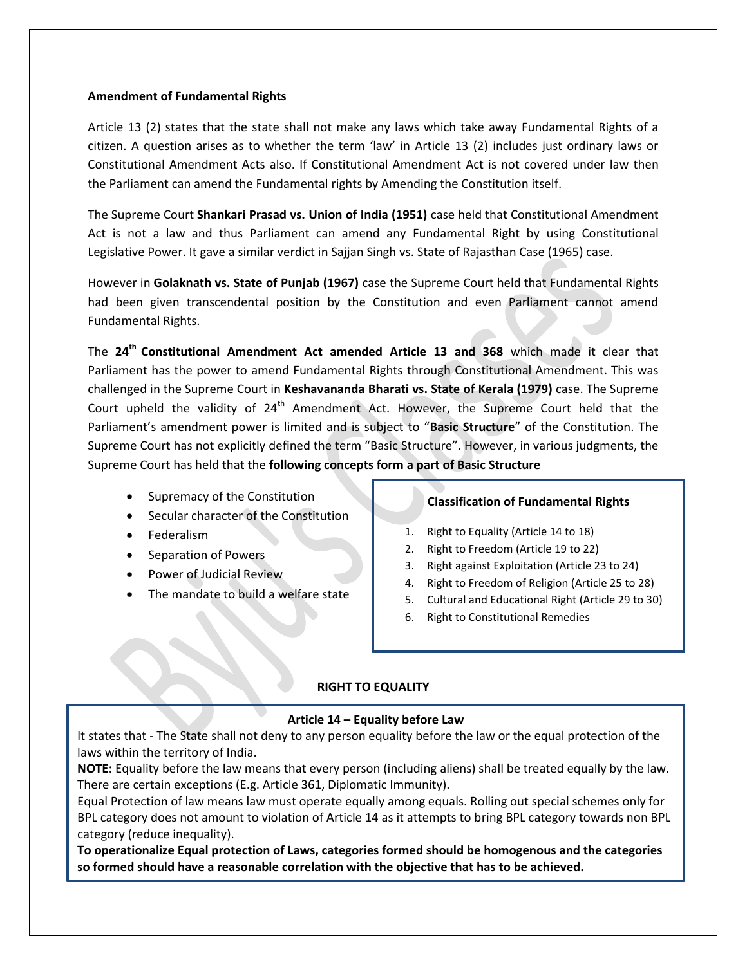### **Amendment of Fundamental Rights**

Article 13 (2) states that the state shall not make any laws which take away Fundamental Rights of a citizen. A question arises as to whether the term 'law' in Article 13 (2) includes just ordinary laws or Constitutional Amendment Acts also. If Constitutional Amendment Act is not covered under law then the Parliament can amend the Fundamental rights by Amending the Constitution itself.

The Supreme Court **Shankari Prasad vs. Union of India (1951)** case held that Constitutional Amendment Act is not a law and thus Parliament can amend any Fundamental Right by using Constitutional Legislative Power. It gave a similar verdict in Sajjan Singh vs. State of Rajasthan Case (1965) case.

However in **Golaknath vs. State of Punjab (1967)** case the Supreme Court held that Fundamental Rights had been given transcendental position by the Constitution and even Parliament cannot amend Fundamental Rights.

The **24th Constitutional Amendment Act amended Article 13 and 368** which made it clear that Parliament has the power to amend Fundamental Rights through Constitutional Amendment. This was challenged in the Supreme Court in **Keshavananda Bharati vs. State of Kerala (1979)** case. The Supreme Court upheld the validity of 24<sup>th</sup> Amendment Act. However, the Supreme Court held that the Parliament's amendment power is limited and is subject to "**Basic Structure**" of the Constitution. The Supreme Court has not explicitly defined the term "Basic Structure". However, in various judgments, the Supreme Court has held that the **following concepts form a part of Basic Structure**

- Supremacy of the Constitution
- Secular character of the Constitution
- Federalism
- Separation of Powers
- Power of Judicial Review
- The mandate to build a welfare state

# **Classification of Fundamental Rights**

- 1. Right to Equality (Article 14 to 18)
- 2. Right to Freedom (Article 19 to 22)
- 3. Right against Exploitation (Article 23 to 24)
- 4. Right to Freedom of Religion (Article 25 to 28)
- 5. Cultural and Educational Right (Article 29 to 30)
- 6. Right to Constitutional Remedies

# **RIGHT TO EQUALITY**

### **Article 14 – Equality before Law**

It states that - The State shall not deny to any person equality before the law or the equal protection of the laws within the territory of India.

**NOTE:** Equality before the law means that every person (including aliens) shall be treated equally by the law. There are certain exceptions (E.g. Article 361, Diplomatic Immunity).

Equal Protection of law means law must operate equally among equals. Rolling out special schemes only for BPL category does not amount to violation of Article 14 as it attempts to bring BPL category towards non BPL category (reduce inequality).

**To operationalize Equal protection of Laws, categories formed should be homogenous and the categories so formed should have a reasonable correlation with the objective that has to be achieved.**